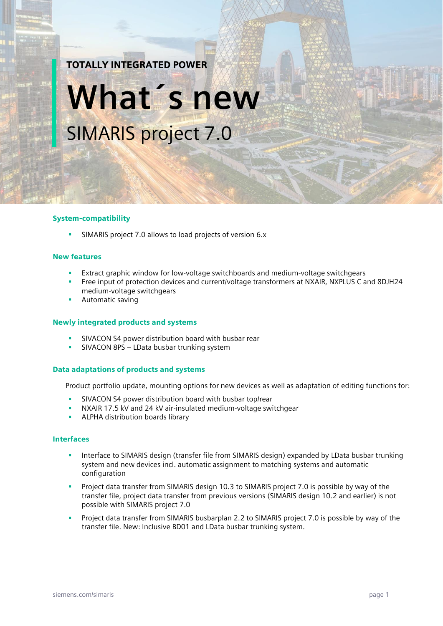# TOTALLY INTEGRATED POWER

# **What´s new** SIMARIS project 7.0

#### System-compatibility

SIMARIS project 7.0 allows to load projects of version 6.x

#### New features

- Extract graphic window for low-voltage switchboards and medium-voltage switchgears
- Free input of protection devices and current/voltage transformers at NXAIR, NXPLUS C and 8DJH24 medium-voltage switchgears
- Automatic saving

# Newly integrated products and systems

- SIVACON S4 power distribution board with busbar rear
- SIVACON 8PS LData busbar trunking system

# Data adaptations of products and systems

Product portfolio update, mounting options for new devices as well as adaptation of editing functions for:

- SIVACON S4 power distribution board with busbar top/rear
- NXAIR 17.5 kV and 24 kV air-insulated medium-voltage switchgear
- ALPHA distribution boards library

### Interfaces

- Interface to SIMARIS design (transfer file from SIMARIS design) expanded by LData busbar trunking system and new devices incl. automatic assignment to matching systems and automatic configuration
- Project data transfer from SIMARIS design 10.3 to SIMARIS project 7.0 is possible by way of the transfer file, project data transfer from previous versions (SIMARIS design 10.2 and earlier) is not possible with SIMARIS project 7.0
- Project data transfer from SIMARIS busbarplan 2.2 to SIMARIS project 7.0 is possible by way of the transfer file. New: Inclusive BD01 and LData busbar trunking system.